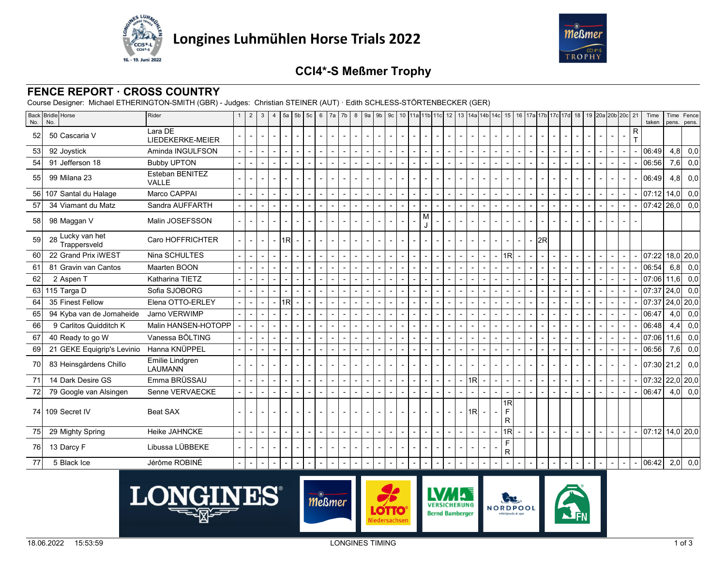



# **CCI4\*-S Meßmer Trophy**

### **FENCE REPORT · CROSS COUNTRY**

Course Designer: Michael ETHERINGTON-SMITH (GBR) - Judges: Christian STEINER (AUT) · Edith SCHLESS-STÖRTENBECKER (GER)

| No. | Back Bridle Horse<br>No.         | Rider                             |                          | $\overline{2}$ | $\mathbf{3}$             | $\overline{4}$ | 5a                                                   | $5b$ 5c        | 6      |                | 7a   7b | 8 |                          |                          |                |                          |                          |                          |                          |                          |                | 9 9 9 9 9 0 10 112 115 116 12 13 14a 14b 14c 15 16 17a 17b 17c 17d 18 19 20a 20b 20c 21 |                            |                |     |                |                          |                |                          |   | Time<br>taken                             | pens.    | Time   Fence<br>pens. |
|-----|----------------------------------|-----------------------------------|--------------------------|----------------|--------------------------|----------------|------------------------------------------------------|----------------|--------|----------------|---------|---|--------------------------|--------------------------|----------------|--------------------------|--------------------------|--------------------------|--------------------------|--------------------------|----------------|-----------------------------------------------------------------------------------------|----------------------------|----------------|-----|----------------|--------------------------|----------------|--------------------------|---|-------------------------------------------|----------|-----------------------|
| 52  | 50 Cascaria V                    | Lara DE<br>LIEDEKERKE-MEIER       |                          |                |                          |                | $\overline{\phantom{a}}$                             |                |        |                |         |   | $\overline{\phantom{0}}$ |                          |                |                          |                          |                          |                          |                          |                |                                                                                         |                            |                |     |                |                          |                |                          | R |                                           |          |                       |
| 53  | 92 Joystick                      | Aminda INGULFSON                  |                          |                | $\overline{\phantom{a}}$ |                | $\overline{\phantom{a}}$                             | $\overline{a}$ |        | $\blacksquare$ | $\sim$  |   | $\overline{\phantom{a}}$ | $\blacksquare$           | $\sim$         | $\sim$                   | $\overline{\phantom{a}}$ | $\overline{a}$           | $\overline{\phantom{0}}$ | $\overline{\phantom{a}}$ | $\blacksquare$ |                                                                                         | $\overline{\phantom{a}}$   |                |     | $\sim$         | $\overline{\phantom{a}}$ | $\overline{a}$ | $\blacksquare$           |   | 06:49                                     | 4,8      | 0,0                   |
| 54  | 91 Jefferson 18                  | <b>Bubby UPTON</b>                |                          |                | $\overline{\phantom{a}}$ |                |                                                      |                |        |                |         |   | $\overline{\phantom{a}}$ |                          | $\overline{a}$ | $\overline{\phantom{a}}$ |                          |                          |                          | $\overline{\phantom{a}}$ |                |                                                                                         |                            |                |     |                | $\sim$                   | $\blacksquare$ | $\sim$                   |   | 06:56                                     |          | $7,6$ 0,0             |
| 55  | 99 Milana 23                     | Esteban BENITEZ<br>VALLE          |                          |                |                          |                |                                                      |                |        |                |         |   |                          |                          |                |                          |                          |                          |                          |                          |                |                                                                                         |                            |                |     |                |                          |                |                          |   | 06:49                                     | 4,8      | 0,0                   |
| 56  | 107 Santal du Halage             | Marco CAPPAI                      |                          |                |                          |                | $\blacksquare$                                       |                |        |                |         |   |                          |                          | $\overline{a}$ |                          |                          |                          |                          | $\overline{\phantom{a}}$ |                |                                                                                         |                            |                |     |                |                          |                |                          |   | 07:12                                     | 14,0     | 0,0                   |
| 57  | 34 Viamant du Matz               | Sandra AUFFARTH                   | $\overline{a}$           |                |                          |                | $\overline{\phantom{a}}$                             |                |        | $\overline{a}$ |         |   | $\sim$                   |                          |                |                          |                          |                          |                          |                          |                |                                                                                         |                            |                |     |                | $\overline{a}$           | $\overline{a}$ |                          |   | 07:42                                     | 26,0     | 0,0                   |
| 58  | 98 Maggan V                      | Malin JOSEFSSON                   |                          |                |                          |                |                                                      |                |        |                |         |   |                          |                          |                |                          | м                        |                          |                          |                          |                |                                                                                         |                            |                |     |                |                          |                |                          |   |                                           |          |                       |
| 59  | 28 Lucky van het<br>Trappersveld | Caro HOFFRICHTER                  |                          |                |                          |                | 1R                                                   |                |        |                |         |   |                          |                          |                |                          |                          |                          |                          |                          |                |                                                                                         |                            |                | 2Rl |                |                          |                |                          |   |                                           |          |                       |
| 60  | 22 Grand Prix iWEST              | Nina SCHULTES                     |                          |                |                          |                | $\blacksquare$                                       |                |        | $\blacksquare$ |         |   | $\blacksquare$           |                          | $\overline{a}$ |                          |                          | $\overline{a}$           |                          | $\overline{\phantom{a}}$ |                |                                                                                         | 1 <sub>R</sub>             |                |     |                | $\overline{a}$           | $\blacksquare$ | $\blacksquare$           |   | 07:22                                     |          | $18,0$ 20,0           |
| 61  | 81 Gravin van Cantos             | Maarten BOON                      |                          |                |                          |                | $\overline{a}$                                       |                |        |                |         |   | $\blacksquare$           |                          |                |                          |                          |                          |                          |                          |                |                                                                                         |                            |                |     |                | $\blacksquare$           |                |                          |   | 06:54                                     |          | $6,8$ 0,0             |
| 62  | 2 Aspen T                        | Katharina TIETZ                   |                          |                |                          |                |                                                      |                |        |                |         |   |                          |                          |                |                          |                          |                          |                          |                          |                |                                                                                         |                            |                |     |                |                          |                |                          |   | 07:06                                     | l 11.6l  | 0,0                   |
| 63  | 115 Targa D                      | Sofia SJOBORG                     |                          |                |                          |                | <u>.</u>                                             |                |        |                |         |   | $\overline{a}$           |                          | $\overline{a}$ | $\overline{a}$           |                          |                          |                          |                          |                |                                                                                         |                            |                |     |                | $\overline{\phantom{a}}$ |                | $\blacksquare$           |   | 07:37                                     | l 24.0 l | 0,0                   |
| 64  | 35 Finest Fellow                 | Elena OTTO-ERLEY                  |                          |                | $\overline{\phantom{a}}$ |                | 1R                                                   |                |        |                |         |   |                          |                          |                |                          |                          |                          |                          |                          |                |                                                                                         |                            |                |     |                |                          |                | $\overline{\phantom{a}}$ |   | 07:37                                     |          | $24,0$ 20,0           |
| 65  | 94 Kyba van de Jomaheide         | Jarno VERWIMP                     |                          |                |                          |                |                                                      |                |        |                |         |   |                          |                          |                |                          |                          |                          |                          |                          |                |                                                                                         |                            |                |     |                |                          |                |                          |   | 06:47                                     | 4,0      | 0,0                   |
| 66  | 9 Carlitos Quidditch K           | Malin HANSEN-HOTOPP               |                          |                |                          |                |                                                      |                |        |                |         |   |                          |                          |                |                          |                          |                          |                          |                          |                |                                                                                         |                            |                |     |                |                          |                |                          |   | 06:48                                     | 4,4      | 0,0                   |
| 67  | 40 Ready to go W                 | Vanessa BÖLTING                   |                          |                | $\overline{\phantom{a}}$ |                | $\overline{\phantom{a}}$                             |                |        | $\overline{a}$ |         |   | $\overline{a}$           |                          | $\overline{a}$ |                          |                          | $\overline{a}$           |                          | $\overline{\phantom{a}}$ |                |                                                                                         |                            |                |     |                | $\overline{a}$           | $\blacksquare$ | $\overline{a}$           |   | 07:06                                     | 11.6     | 0,0                   |
| 69  | 21 GEKE Equigrip's Levinio       | Hanna KNÜPPEL                     |                          |                |                          |                | $\blacksquare$                                       |                |        |                |         |   |                          |                          |                |                          |                          |                          |                          |                          |                |                                                                                         |                            |                |     |                |                          |                |                          |   | 06:56                                     | 7,6      | 0,0                   |
| 70  | 83 Heinsgårdens Chillo           | Emilie Lindgren<br><b>LAUMANN</b> |                          |                |                          |                |                                                      |                |        |                |         |   |                          |                          |                |                          |                          |                          |                          |                          |                |                                                                                         |                            |                |     |                |                          |                |                          |   | 07:30 21,2                                |          | 0,0                   |
| 71  | 14 Dark Desire GS                | Emma BRÜSSAU                      |                          |                |                          |                | $\overline{\phantom{a}}$                             |                |        |                |         |   |                          |                          |                |                          |                          | $\overline{\phantom{a}}$ |                          | L,                       | 1R             |                                                                                         |                            |                |     |                | $\overline{\phantom{a}}$ |                |                          |   | $07:32$ 22,0 20,0                         |          |                       |
| 72  | 79 Google van Alsingen           | Senne VERVAECKE                   |                          |                |                          |                |                                                      |                |        |                |         |   | $\blacksquare$           |                          | ÷,             | $\overline{\phantom{a}}$ |                          |                          |                          |                          |                |                                                                                         |                            |                |     |                |                          |                | $\overline{\phantom{a}}$ |   | 06:47                                     |          | $4,0$ 0.0             |
|     | 74 109 Secret IV                 | <b>Beat SAX</b>                   |                          |                |                          |                |                                                      |                | $\sim$ |                |         |   | $\overline{\phantom{a}}$ |                          | $\blacksquare$ |                          |                          | $\overline{\phantom{a}}$ |                          | - I1RI                   |                |                                                                                         | <sup>1</sup> R<br>F.<br>R. |                |     |                |                          |                |                          |   |                                           |          |                       |
| 75  | 29 Mighty Spring                 | Heike JAHNCKE                     | $\overline{\phantom{0}}$ |                |                          |                | $\overline{\phantom{0}}$<br>$\overline{\phantom{a}}$ | $\overline{a}$ | $\sim$ | $\sim$         |         |   | $\overline{\phantom{a}}$ | $\overline{\phantom{a}}$ | $\sim$         | $\overline{a}$           | $\overline{\phantom{0}}$ | $\overline{\phantom{a}}$ | $\overline{a}$           | $\overline{a}$           | $\sim$         |                                                                                         | $\overline{1R}$            | $\overline{a}$ |     | $\overline{a}$ | $\sim$                   | $\sim$         | $\sim$                   |   | $\vert 07:12 \vert 14,0 \vert 20,0 \vert$ |          |                       |
| 76  | 13 Darcy F                       | Libussa LÜBBEKE                   |                          |                |                          |                |                                                      |                |        |                |         |   |                          |                          |                |                          |                          |                          |                          |                          |                |                                                                                         | F<br>R.                    |                |     |                |                          |                |                          |   |                                           |          |                       |
| 77  | 5 Black Ice                      | Jérôme ROBINÉ                     |                          |                |                          |                | $\overline{\phantom{a}}$                             | $\blacksquare$ |        |                |         |   | $\overline{\phantom{a}}$ |                          | $\blacksquare$ |                          |                          | $\overline{\phantom{a}}$ |                          |                          |                |                                                                                         |                            |                |     |                | $\overline{\phantom{a}}$ |                |                          |   | 06:42                                     |          | $2,0$ 0,0             |



**OTTO.** 

dersachser

 $m<sup>•</sup>$ <br>*Meßmer* 

VERSICHERUNG

**Bernd Bamberger** 

63 **NORDPOOL**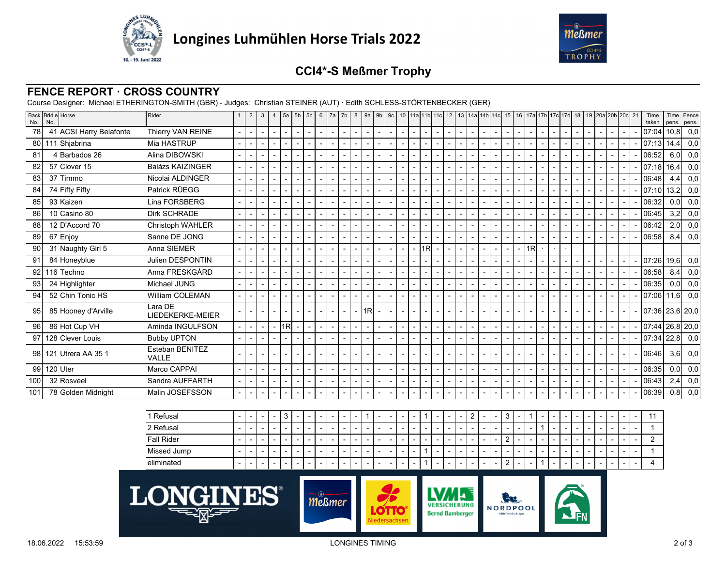



# **CCI4\*-S Meßmer Trophy**

#### **FENCE REPORT · CROSS COUNTRY**

Course Designer: Michael ETHERINGTON-SMITH (GBR) - Judges: Christian STEINER (AUT) · Edith SCHLESS-STÖRTENBECKER (GER)

| No.             | Back Bridle Horse<br>No. | Rider                       | $\overline{2}$ | $\mathbf{3}$             | $\overline{4}$           | 5a                       | $5b$ 5c                  |                | 6 <sup>1</sup> | 7a | 7b                       | 8 9a 9b 9c               |                          |                          |                |        |                          |                          |                          |                          |                          |        | 10 11a 11b 11c 12 13 14a 14b 14c 15 16 17a 17b 17c 17d 18 19 20a 20b 20c 21 |                          |                          |                          |                          |                |  |                          |                          |                          |                          | Time<br>taken     | Time<br>pens. | Fence<br>pens. |
|-----------------|--------------------------|-----------------------------|----------------|--------------------------|--------------------------|--------------------------|--------------------------|----------------|----------------|----|--------------------------|--------------------------|--------------------------|--------------------------|----------------|--------|--------------------------|--------------------------|--------------------------|--------------------------|--------------------------|--------|-----------------------------------------------------------------------------|--------------------------|--------------------------|--------------------------|--------------------------|----------------|--|--------------------------|--------------------------|--------------------------|--------------------------|-------------------|---------------|----------------|
| 78              | 41 ACSI Harry Belafonte  | Thierry VAN REINE           |                | $\overline{\phantom{0}}$ | $\overline{\phantom{a}}$ | $\overline{\phantom{0}}$ | $\overline{\phantom{a}}$ | $\overline{a}$ |                |    | $\sim$                   | $\overline{\phantom{a}}$ | $\overline{\phantom{a}}$ | $\sim$                   | $\blacksquare$ | $\sim$ | $\overline{\phantom{a}}$ | $\sim$                   | $\sim$                   | $\overline{\phantom{a}}$ | $\sim$                   | $\sim$ |                                                                             | $\sim$                   | $\sim$                   | $\overline{\phantom{a}}$ | $\sim$                   | $\overline{a}$ |  | $\overline{\phantom{0}}$ | $\overline{\phantom{a}}$ | $\overline{\phantom{a}}$ | $\sim$                   | 07:04             |               | $10,8$ 0,0     |
|                 | 80 111 Shjabrina         | Mia HASTRUP                 |                |                          | $\overline{\phantom{a}}$ |                          | $\overline{a}$           |                |                |    | $\sim$                   | $\blacksquare$           | $\overline{\phantom{0}}$ | $\overline{\phantom{a}}$ | $\blacksquare$ |        |                          | $\overline{\phantom{a}}$ | $\sim$                   | $\overline{\phantom{0}}$ | $\overline{\phantom{a}}$ |        |                                                                             | $\overline{\phantom{a}}$ | $\overline{\phantom{a}}$ | $\overline{\phantom{0}}$ | $\overline{\phantom{a}}$ |                |  | $\sim$                   | $\blacksquare$           | $\overline{\phantom{0}}$ | $\sim$                   | 107:131           | 14.4          | 0,0            |
| 81              | 4 Barbados 26            | Alina DIBOWSKI              |                |                          |                          |                          | $\overline{a}$           |                |                |    |                          | $\blacksquare$           | $\overline{\phantom{0}}$ | $\overline{\phantom{a}}$ | $\blacksquare$ |        |                          | $\overline{\phantom{0}}$ | $\sim$                   | $\blacksquare$           | $\sim$                   |        |                                                                             | $\overline{\phantom{0}}$ | $\overline{\phantom{a}}$ | $\overline{\phantom{0}}$ | $\overline{\phantom{a}}$ |                |  |                          | $\blacksquare$           |                          | $\overline{\phantom{a}}$ | 06:52             | 6,0           | 0,0            |
| 82              | 57 Clover 15             | <b>Balázs KAIZINGER</b>     |                |                          | $\overline{\phantom{a}}$ |                          | $\overline{a}$           |                |                |    | $\overline{\phantom{0}}$ | $\blacksquare$           | $\overline{\phantom{0}}$ | $\blacksquare$           | $\blacksquare$ |        |                          | $\overline{\phantom{0}}$ | $\sim$                   | $\blacksquare$           | $\blacksquare$           |        |                                                                             | $\overline{\phantom{0}}$ | $\overline{\phantom{a}}$ | $\overline{\phantom{0}}$ | $\overline{\phantom{a}}$ | $\blacksquare$ |  | $\overline{\phantom{0}}$ | $\blacksquare$           | $\overline{\phantom{0}}$ | $\overline{\phantom{a}}$ | 07:18             | 16,4          | $_{0,0}$       |
| 83              | 37 Timmo                 | Nicolai ALDINGER            |                |                          | $\overline{\phantom{a}}$ |                          | $\overline{\phantom{a}}$ |                |                |    | $\overline{\phantom{0}}$ | $\overline{a}$           | $\overline{a}$           | $\overline{\phantom{a}}$ | $\overline{a}$ |        |                          | $\overline{\phantom{0}}$ | $\sim$                   | $\overline{\phantom{0}}$ | $\sim$                   |        |                                                                             | $\overline{\phantom{0}}$ | $\overline{\phantom{a}}$ | $\overline{\phantom{0}}$ | $\overline{\phantom{a}}$ | $\overline{a}$ |  |                          | $\overline{\phantom{a}}$ |                          | $\overline{\phantom{a}}$ | 06:48             | 4,4           | 0,0            |
| 84              | 74 Fifty Fifty           | Patrick RÜEGG               |                |                          |                          |                          | $\overline{a}$           |                |                |    | $\overline{a}$           | $\overline{\phantom{a}}$ | $\overline{\phantom{0}}$ | $\overline{\phantom{a}}$ |                |        |                          | $\overline{a}$           | $\sim$                   |                          | $\overline{\phantom{a}}$ |        |                                                                             | $\overline{a}$           | $\overline{a}$           |                          |                          |                |  |                          | $\overline{a}$           |                          | $\overline{a}$           | 07:10             | 13,2          | 0,0            |
| 85              | 93 Kaizen                | Lina FORSBERG               |                |                          | $\overline{\phantom{a}}$ |                          | $\overline{a}$           |                |                |    | $\overline{\phantom{0}}$ | $\overline{\phantom{a}}$ |                          | $\overline{a}$           | $\overline{a}$ |        |                          | $\overline{\phantom{0}}$ | $\sim$                   |                          | $\overline{a}$           |        |                                                                             | $\overline{\phantom{0}}$ | $\overline{\phantom{a}}$ |                          | $\overline{a}$           |                |  |                          | $\overline{\phantom{a}}$ |                          | $\overline{a}$           | 06:32             | 0,0           | $_{0,0}$       |
| 86              | 10 Casino 80             | <b>Dirk SCHRADE</b>         |                |                          |                          |                          |                          |                |                |    |                          | $\overline{\phantom{a}}$ |                          |                          |                |        |                          | $\overline{\phantom{0}}$ | $\overline{\phantom{a}}$ |                          |                          |        |                                                                             |                          |                          |                          |                          |                |  |                          |                          |                          |                          | 06:45             | 3,2           | 0,0            |
| 88              | 12 D'Accord 70           | <b>Christoph WAHLER</b>     |                |                          |                          |                          |                          |                |                |    |                          |                          |                          |                          |                |        |                          | $\sim$                   | $\overline{\phantom{a}}$ |                          |                          |        |                                                                             |                          |                          |                          |                          |                |  |                          |                          |                          |                          | 06:42             | 2,0           | 0,0            |
| 89              | 67 Enjoy                 | Sanne DE JONG               |                |                          |                          |                          |                          |                |                |    |                          |                          |                          |                          |                |        |                          |                          |                          |                          |                          |        |                                                                             |                          |                          |                          |                          |                |  |                          |                          |                          |                          | 06:58             | 8,4           | $_{0,0}$       |
| 90 <sup>°</sup> | 31 Naughty Girl 5        | Anna SIEMER                 |                |                          |                          |                          |                          |                |                |    |                          |                          |                          |                          |                |        |                          | 1R                       |                          |                          |                          |        |                                                                             |                          |                          | 1 <sub>R</sub>           |                          |                |  |                          |                          |                          |                          |                   |               |                |
| 91              | 84 Honeyblue             | Julien DESPONTIN            |                |                          |                          |                          |                          |                |                |    |                          |                          |                          |                          |                |        |                          |                          |                          |                          |                          |        |                                                                             |                          |                          |                          |                          |                |  |                          |                          |                          |                          | 07:26             | 19,6          | $_{0,0}$       |
| 92              | 116 Techno               | Anna FRESKGÅRD              |                |                          |                          |                          |                          |                |                |    |                          |                          |                          |                          |                |        |                          |                          |                          |                          |                          |        |                                                                             |                          |                          |                          |                          |                |  |                          |                          |                          |                          | 06:58             | 8,4           | $_{0,0}$       |
| 93              | 24 Highlighter           | Michael JUNG                |                |                          |                          |                          |                          |                |                |    |                          |                          |                          |                          |                |        |                          |                          |                          |                          |                          |        |                                                                             |                          |                          |                          |                          |                |  |                          |                          |                          |                          | 06:35             | 0,0           | $_{0,0}$       |
| 94              | 52 Chin Tonic HS         | William COLEMAN             |                |                          |                          |                          |                          |                |                |    |                          |                          |                          |                          |                |        |                          |                          |                          |                          |                          |        |                                                                             |                          |                          |                          |                          |                |  |                          |                          |                          |                          | 07:06             | 11,6          | $_{0,0}$       |
| 95              | 85 Hooney d'Arville      | Lara DE<br>LIEDEKERKE-MEIER |                |                          |                          |                          |                          |                |                |    |                          |                          | 1R                       |                          |                |        |                          |                          |                          |                          |                          |        |                                                                             |                          |                          |                          |                          |                |  |                          |                          |                          |                          | 07:36 23,6 20,0   |               |                |
| 96              | 86 Hot Cup VH            | Aminda INGULFSON            |                |                          |                          | 1 <sub>R</sub>           |                          |                |                |    |                          |                          |                          |                          |                |        |                          |                          |                          |                          |                          |        |                                                                             |                          | $\overline{\phantom{a}}$ |                          |                          |                |  |                          |                          |                          |                          | $07:44$ 26,8 20,0 |               |                |
| 97              | 128 Clever Louis         | <b>Bubby UPTON</b>          |                |                          |                          |                          |                          |                |                |    |                          |                          |                          |                          |                |        |                          |                          |                          |                          |                          |        |                                                                             |                          |                          |                          |                          |                |  |                          |                          |                          |                          | 07:34             | 22,8          | $_{0,0}$       |
|                 | 98 121 Utrera AA 35 1    | Esteban BENITEZ<br>VALLE    |                |                          |                          |                          |                          |                |                |    |                          |                          |                          |                          |                |        |                          |                          |                          |                          |                          |        |                                                                             |                          |                          |                          |                          |                |  |                          |                          |                          |                          | 06:46             | 3,6           | 0,0            |
| 99              | 120 Uter                 | Marco CAPPAI                |                |                          |                          |                          |                          |                |                |    |                          |                          |                          |                          |                |        |                          |                          | $\overline{\phantom{a}}$ |                          |                          |        |                                                                             |                          | $\overline{\phantom{a}}$ |                          |                          |                |  |                          |                          |                          |                          | 06:35             | 0,0           | $_{0,0}$       |
| 100             | 32 Rosveel               | Sandra AUFFARTH             |                |                          |                          |                          |                          |                |                |    |                          |                          |                          |                          |                |        |                          |                          | $\blacksquare$           |                          |                          |        |                                                                             |                          | $\overline{\phantom{a}}$ |                          |                          |                |  |                          |                          |                          |                          | 06:43             | 2,4           | 0,0            |
| 101             | 78 Golden Midnight       | Malin JOSEFSSON             |                |                          |                          |                          |                          |                |                |    |                          |                          |                          |                          |                |        |                          |                          |                          |                          |                          |        |                                                                             |                          |                          |                          |                          |                |  |                          |                          |                          |                          | 06:39             |               | $0,8$ 0,0      |

| <sup>1</sup> Refusal | $\overline{\phantom{a}}$ | $\sim$                   |                          | $\ddot{\phantom{0}}$     | -                        |        |                          |                          |                          |                          |                          | $\overline{\phantom{0}}$ |                          |                          | $\overline{\phantom{0}}$ |                          |                          | $\overline{\phantom{0}}$ |        | ∠                        |                          |                          | $\sim$                   |                          | -                        | $\overline{\phantom{a}}$ | $\overline{\phantom{a}}$ | $\overline{\phantom{0}}$ |        |                          |                          | $\overline{\phantom{0}}$ | - 44 |
|----------------------|--------------------------|--------------------------|--------------------------|--------------------------|--------------------------|--------|--------------------------|--------------------------|--------------------------|--------------------------|--------------------------|--------------------------|--------------------------|--------------------------|--------------------------|--------------------------|--------------------------|--------------------------|--------|--------------------------|--------------------------|--------------------------|--------------------------|--------------------------|--------------------------|--------------------------|--------------------------|--------------------------|--------|--------------------------|--------------------------|--------------------------|------|
| 2 Refusal            | $\overline{\phantom{a}}$ | $\sim$                   | $\overline{\phantom{a}}$ | $\overline{\phantom{a}}$ | $\overline{\phantom{0}}$ | $\sim$ |                          | $\overline{\phantom{0}}$ | $\overline{\phantom{a}}$ | $\overline{\phantom{0}}$ | $\sim$                   | $\sim$                   | $\overline{\phantom{0}}$ | $\sim$                   | $\overline{\phantom{a}}$ | $\sim$                   | $\sim$                   | $\overline{\phantom{a}}$ | $\sim$ | $-$                      | $\overline{\phantom{a}}$ | $\sim$                   | $\overline{\phantom{0}}$ |                          |                          | $\overline{\phantom{a}}$ | $\overline{\phantom{a}}$ | $\overline{\phantom{a}}$ | $\sim$ | $\overline{\phantom{a}}$ | $\sim$                   | $\overline{\phantom{a}}$ |      |
| <b>Fall Rider</b>    |                          | -                        |                          | $\overline{\phantom{a}}$ | $\overline{\phantom{0}}$ |        |                          |                          |                          |                          |                          | $\overline{\phantom{0}}$ |                          |                          | $\overline{\phantom{0}}$ | $\overline{\phantom{0}}$ |                          | $\overline{\phantom{0}}$ |        | $\overline{\phantom{0}}$ |                          |                          |                          | $\overline{\phantom{0}}$ |                          |                          |                          |                          |        |                          |                          | $\overline{\phantom{a}}$ |      |
| Missed Jump          | -                        | $\overline{\phantom{0}}$ |                          |                          | -                        |        |                          |                          |                          |                          | $\overline{\phantom{a}}$ | $\overline{\phantom{0}}$ |                          | $\overline{\phantom{0}}$ | $\overline{\phantom{a}}$ |                          |                          | $\overline{\phantom{0}}$ | $\sim$ | $\overline{\phantom{0}}$ |                          |                          | $\overline{\phantom{0}}$ |                          | $\overline{\phantom{0}}$ | $\overline{\phantom{0}}$ |                          | $\overline{\phantom{0}}$ |        |                          | $\overline{\phantom{0}}$ | $\overline{\phantom{a}}$ |      |
| eliminated           | $\overline{\phantom{a}}$ | $\sim$                   | $\overline{\phantom{a}}$ | $\overline{\phantom{a}}$ | $\overline{\phantom{0}}$ | $\sim$ | $\overline{\phantom{a}}$ | $\overline{\phantom{a}}$ | $\overline{\phantom{a}}$ | .                        | $\sim$                   | $\sim$                   | $\overline{\phantom{0}}$ | $\overline{\phantom{0}}$ | $\overline{\phantom{0}}$ |                          | $\overline{\phantom{a}}$ | $\overline{\phantom{a}}$ | .      | $-$                      | $\overline{\phantom{0}}$ | $\overline{\phantom{a}}$ | ∼                        |                          |                          | $\overline{\phantom{a}}$ | $\sim$                   | $\overline{\phantom{a}}$ | $\sim$ | $\sim$                   | .                        | $\overline{\phantom{a}}$ | 4    |